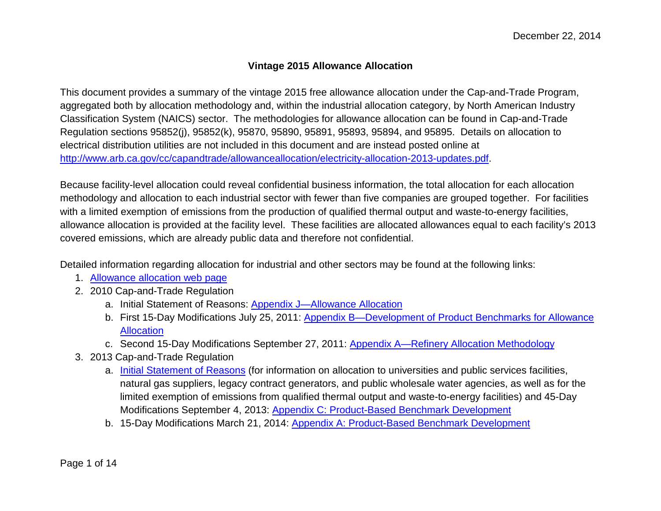## <span id="page-0-0"></span>**Vintage 2015 Allowance Allocation**

 This document provides a summary of the vintage 2015 free allowance allocation under the Cap-and-Trade Program, Classification System (NAICS) sector. The methodologies for allowance allocation can be found in Cap-and-Trade Regulation sections 95852(j), 95852(k), 95870, 95890, 95891, 95893, 95894, and 95895. Details on allocation to electrical distribution utilities are not included in this document and are instead posted online at aggregated both by allocation methodology and, within the industrial allocation category, by North American Industry [http://www.arb.ca.gov/cc/capandtrade/allowanceallocation/electricity-allocation-2013-updates.pdf.](http://www.arb.ca.gov/cc/capandtrade/allowanceallocation/electricity-allocation-2013-updates.pdf)

 methodology and allocation to each industrial sector with fewer than five companies are grouped together. For facilities with a limited exemption of emissions from the production of qualified thermal output and waste-to-energy facilities, allowance allocation is provided at the facility level. These facilities are allocated allowances equal to each facility's 2013 covered emissions, which are already public data and therefore not confidential. Because facility-level allocation could reveal confidential business information, the total allocation for each allocation

covered emissions, which are already public data and therefore not confidential.<br>Detailed information regarding allocation for industrial and other sectors may be found at the following links:

- 1. [Allowance allocation web page](http://www.arb.ca.gov/cc/capandtrade/allowanceallocation/allowanceallocation.htm)
- 2. 2010 Cap-and-Trade Regulation
	- a. Initial Statement of Reasons: [Appendix J—Allowance Allocation](http://www.arb.ca.gov/regact/2010/capandtrade10/capv4appj.pdf)
	- b. First 15-Day Modifications July 25, 2011: [Appendix B—Development of Product Benchmarks for Allowance](http://www.arb.ca.gov/regact/2010/capandtrade10/candtappb.pdf)  [Allocation](http://www.arb.ca.gov/regact/2010/capandtrade10/candtappb.pdf)
	- c. Second 15-Day Modifications September 27, 2011: <u>Appendix A—Refinery Allocation Methodology</u>
- 3. 2013 Cap-and-Trade Regulation
	- natural gas suppliers, legacy contract generators, and public wholesale water agencies, as well as for the Modifications September 4, 2013: Appendix C: Product-Based Benchmark Development a. [Initial Statement of Reasons](http://www.arb.ca.gov/regact/2013/capandtrade13/capandtrade13isor.pdf) (for information on allocation to universities and public services facilities, limited exemption of emissions from qualified thermal output and waste-to-energy facilities) and 45-Day
- Modifications September 4, 2013: <u>Appendix C: Product-Based Benchmark Development</u><br>b. 15-Day Modifications March 21, 2014: <u>Appendix A: Product-Based Benchmark Development</u><br>Page 1 of 14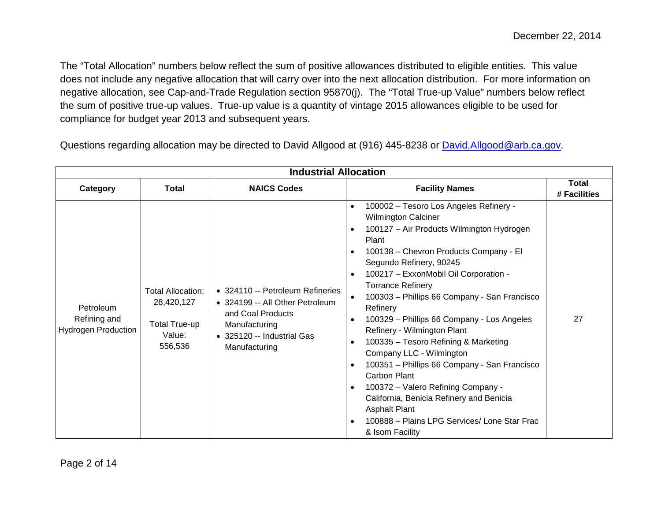The "Total Allocation" numbers below reflect the sum of positive allowances distributed to eligible entities. This value negative allocation, see Cap-and-Trade Regulation section 95870(j). The "Total True-up Value" numbers below reflect does not include any negative allocation that will carry over into the next allocation distribution. For more information on the sum of positive true-up values. True-up value is a quantity of vintage 2015 allowances eligible to be used for compliance for budget year 2013 and subsequent years.

Questions regarding allocation may be directed to David Allgood at (916) 445-8238 or [David.Allgood@arb.ca.gov.](mailto:David.Allgood@arb.ca.gov)

| <b>Industrial Allocation</b>                     |                                                                                     |                                                                                                                                                          |                                                                                                                                                                                                                                                                                                                                                                                                                                                                                                                                                                                                                                                                                                                                                                                                                                                                  |                              |
|--------------------------------------------------|-------------------------------------------------------------------------------------|----------------------------------------------------------------------------------------------------------------------------------------------------------|------------------------------------------------------------------------------------------------------------------------------------------------------------------------------------------------------------------------------------------------------------------------------------------------------------------------------------------------------------------------------------------------------------------------------------------------------------------------------------------------------------------------------------------------------------------------------------------------------------------------------------------------------------------------------------------------------------------------------------------------------------------------------------------------------------------------------------------------------------------|------------------------------|
| Category                                         | Total                                                                               | <b>NAICS Codes</b>                                                                                                                                       | <b>Facility Names</b>                                                                                                                                                                                                                                                                                                                                                                                                                                                                                                                                                                                                                                                                                                                                                                                                                                            | <b>Total</b><br># Facilities |
| Petroleum<br>Refining and<br>Hydrogen Production | <b>Total Allocation:</b><br>28,420,127<br><b>Total True-up</b><br>Value:<br>556,536 | • 324110 -- Petroleum Refineries<br>• 324199 -- All Other Petroleum<br>and Coal Products<br>Manufacturing<br>• 325120 -- Industrial Gas<br>Manufacturing | 100002 - Tesoro Los Angeles Refinery -<br>$\bullet$<br><b>Wilmington Calciner</b><br>100127 - Air Products Wilmington Hydrogen<br>$\bullet$<br>Plant<br>100138 - Chevron Products Company - El<br>$\bullet$<br>Segundo Refinery, 90245<br>100217 - ExxonMobil Oil Corporation -<br>$\bullet$<br><b>Torrance Refinery</b><br>100303 - Phillips 66 Company - San Francisco<br>$\bullet$<br>Refinery<br>100329 - Phillips 66 Company - Los Angeles<br>$\bullet$<br>Refinery - Wilmington Plant<br>100335 - Tesoro Refining & Marketing<br>$\bullet$<br>Company LLC - Wilmington<br>100351 - Phillips 66 Company - San Francisco<br>$\bullet$<br>Carbon Plant<br>100372 - Valero Refining Company -<br>$\bullet$<br>California, Benicia Refinery and Benicia<br><b>Asphalt Plant</b><br>100888 - Plains LPG Services/ Lone Star Frac<br>$\bullet$<br>& Isom Facility | 27                           |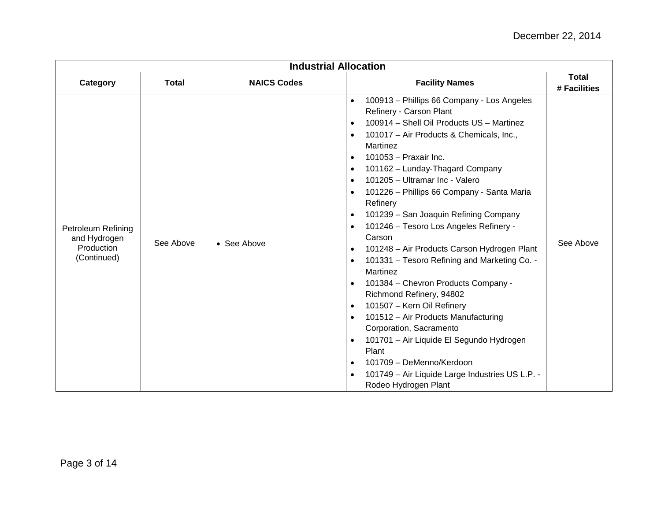| <b>Industrial Allocation</b>                                    |              |                     |                                                                                                                                                                                                                                                                                                                                                                                                                                                                                                                                                                                                                                                                                                                                                                                                                                                                                                                                                                                                                                                                              |                              |
|-----------------------------------------------------------------|--------------|---------------------|------------------------------------------------------------------------------------------------------------------------------------------------------------------------------------------------------------------------------------------------------------------------------------------------------------------------------------------------------------------------------------------------------------------------------------------------------------------------------------------------------------------------------------------------------------------------------------------------------------------------------------------------------------------------------------------------------------------------------------------------------------------------------------------------------------------------------------------------------------------------------------------------------------------------------------------------------------------------------------------------------------------------------------------------------------------------------|------------------------------|
| Category                                                        | <b>Total</b> | <b>NAICS Codes</b>  | <b>Facility Names</b>                                                                                                                                                                                                                                                                                                                                                                                                                                                                                                                                                                                                                                                                                                                                                                                                                                                                                                                                                                                                                                                        | <b>Total</b><br># Facilities |
| Petroleum Refining<br>and Hydrogen<br>Production<br>(Continued) | See Above    | $\bullet$ See Above | 100913 - Phillips 66 Company - Los Angeles<br>$\bullet$<br>Refinery - Carson Plant<br>100914 - Shell Oil Products US - Martinez<br>$\bullet$<br>101017 - Air Products & Chemicals, Inc.,<br>$\bullet$<br>Martinez<br>101053 - Praxair Inc.<br>$\bullet$<br>101162 - Lunday-Thagard Company<br>$\bullet$<br>101205 - Ultramar Inc - Valero<br>$\bullet$<br>101226 - Phillips 66 Company - Santa Maria<br>$\bullet$<br>Refinery<br>101239 - San Joaquin Refining Company<br>$\bullet$<br>101246 - Tesoro Los Angeles Refinery -<br>$\bullet$<br>Carson<br>101248 - Air Products Carson Hydrogen Plant<br>$\bullet$<br>101331 - Tesoro Refining and Marketing Co. -<br>$\bullet$<br>Martinez<br>101384 - Chevron Products Company -<br>$\bullet$<br>Richmond Refinery, 94802<br>101507 - Kern Oil Refinery<br>$\bullet$<br>101512 - Air Products Manufacturing<br>Corporation, Sacramento<br>101701 - Air Liquide El Segundo Hydrogen<br>$\bullet$<br>Plant<br>101709 - DeMenno/Kerdoon<br>$\bullet$<br>101749 - Air Liquide Large Industries US L.P. -<br>Rodeo Hydrogen Plant | See Above                    |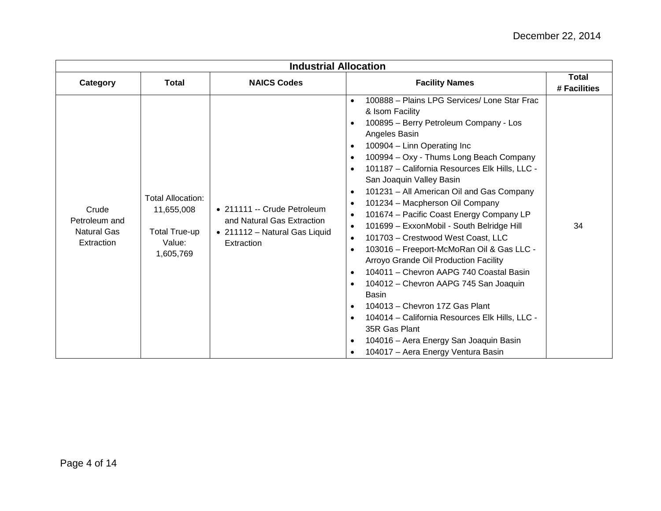| <b>Industrial Allocation</b>                               |                                                                                       |                                                                                                          |                                                                                                                                                                                                                                                                                                                                                                                                                                                                                                                                                                                                                                                                                                                                                                                                                                                                                                                                                                                                                                              |                              |
|------------------------------------------------------------|---------------------------------------------------------------------------------------|----------------------------------------------------------------------------------------------------------|----------------------------------------------------------------------------------------------------------------------------------------------------------------------------------------------------------------------------------------------------------------------------------------------------------------------------------------------------------------------------------------------------------------------------------------------------------------------------------------------------------------------------------------------------------------------------------------------------------------------------------------------------------------------------------------------------------------------------------------------------------------------------------------------------------------------------------------------------------------------------------------------------------------------------------------------------------------------------------------------------------------------------------------------|------------------------------|
| Category                                                   | Total                                                                                 | <b>NAICS Codes</b>                                                                                       | <b>Facility Names</b>                                                                                                                                                                                                                                                                                                                                                                                                                                                                                                                                                                                                                                                                                                                                                                                                                                                                                                                                                                                                                        | <b>Total</b><br># Facilities |
| Crude<br>Petroleum and<br><b>Natural Gas</b><br>Extraction | <b>Total Allocation:</b><br>11,655,008<br><b>Total True-up</b><br>Value:<br>1,605,769 | • 211111 -- Crude Petroleum<br>and Natural Gas Extraction<br>• 211112 - Natural Gas Liquid<br>Extraction | 100888 - Plains LPG Services/ Lone Star Frac<br>$\bullet$<br>& Isom Facility<br>100895 - Berry Petroleum Company - Los<br>$\bullet$<br>Angeles Basin<br>100904 - Linn Operating Inc<br>$\bullet$<br>100994 - Oxy - Thums Long Beach Company<br>$\bullet$<br>101187 - California Resources Elk Hills, LLC -<br>$\bullet$<br>San Joaquin Valley Basin<br>101231 - All American Oil and Gas Company<br>$\bullet$<br>101234 - Macpherson Oil Company<br>$\bullet$<br>101674 - Pacific Coast Energy Company LP<br>101699 - ExxonMobil - South Belridge Hill<br>101703 - Crestwood West Coast, LLC<br>$\bullet$<br>103016 - Freeport-McMoRan Oil & Gas LLC -<br>$\bullet$<br>Arroyo Grande Oil Production Facility<br>104011 - Chevron AAPG 740 Coastal Basin<br>$\bullet$<br>104012 - Chevron AAPG 745 San Joaquin<br>$\bullet$<br><b>Basin</b><br>104013 - Chevron 17Z Gas Plant<br>$\bullet$<br>104014 - California Resources Elk Hills, LLC -<br>35R Gas Plant<br>104016 - Aera Energy San Joaquin Basin<br>104017 - Aera Energy Ventura Basin | 34                           |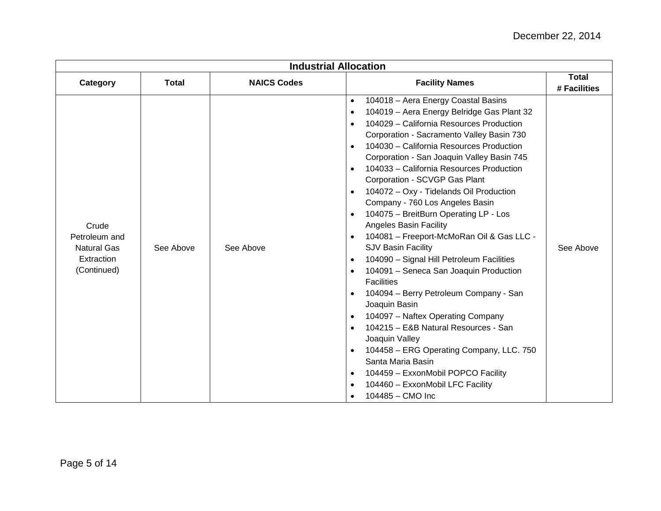| <b>Industrial Allocation</b>                                              |              |                    |                                                                                                                                                                                                                                                                                                                                                                                                                                                                                                                                                                                                                                                                                                                                                                                                                                                                                                                                                                                                                                                                                                                                                            |                              |
|---------------------------------------------------------------------------|--------------|--------------------|------------------------------------------------------------------------------------------------------------------------------------------------------------------------------------------------------------------------------------------------------------------------------------------------------------------------------------------------------------------------------------------------------------------------------------------------------------------------------------------------------------------------------------------------------------------------------------------------------------------------------------------------------------------------------------------------------------------------------------------------------------------------------------------------------------------------------------------------------------------------------------------------------------------------------------------------------------------------------------------------------------------------------------------------------------------------------------------------------------------------------------------------------------|------------------------------|
| Category                                                                  | <b>Total</b> | <b>NAICS Codes</b> | <b>Facility Names</b>                                                                                                                                                                                                                                                                                                                                                                                                                                                                                                                                                                                                                                                                                                                                                                                                                                                                                                                                                                                                                                                                                                                                      | <b>Total</b><br># Facilities |
| Crude<br>Petroleum and<br><b>Natural Gas</b><br>Extraction<br>(Continued) | See Above    | See Above          | 104018 - Aera Energy Coastal Basins<br>$\bullet$<br>104019 - Aera Energy Belridge Gas Plant 32<br>$\bullet$<br>104029 - California Resources Production<br>Corporation - Sacramento Valley Basin 730<br>104030 - California Resources Production<br>Corporation - San Joaquin Valley Basin 745<br>104033 - California Resources Production<br>Corporation - SCVGP Gas Plant<br>104072 - Oxy - Tidelands Oil Production<br>Company - 760 Los Angeles Basin<br>104075 - BreitBurn Operating LP - Los<br>$\bullet$<br><b>Angeles Basin Facility</b><br>104081 - Freeport-McMoRan Oil & Gas LLC -<br>$\bullet$<br><b>SJV Basin Facility</b><br>104090 - Signal Hill Petroleum Facilities<br>$\bullet$<br>104091 - Seneca San Joaquin Production<br>$\bullet$<br><b>Facilities</b><br>104094 - Berry Petroleum Company - San<br>Joaquin Basin<br>104097 - Naftex Operating Company<br>$\bullet$<br>104215 - E&B Natural Resources - San<br>$\bullet$<br>Joaquin Valley<br>104458 - ERG Operating Company, LLC. 750<br>$\bullet$<br>Santa Maria Basin<br>104459 - ExxonMobil POPCO Facility<br>$\bullet$<br>104460 - ExxonMobil LFC Facility<br>104485 - CMO Inc | See Above                    |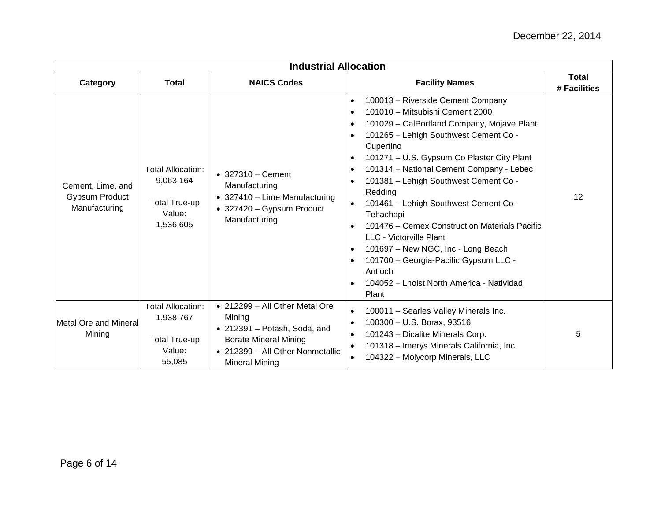| <b>Industrial Allocation</b>                                |                                                                                   |                                                                                                                                                                               |                                                                                                                                                                                                                                                                                                                                                                                                                                                                                                                                                                                                                                                                                                                                                         |                              |
|-------------------------------------------------------------|-----------------------------------------------------------------------------------|-------------------------------------------------------------------------------------------------------------------------------------------------------------------------------|---------------------------------------------------------------------------------------------------------------------------------------------------------------------------------------------------------------------------------------------------------------------------------------------------------------------------------------------------------------------------------------------------------------------------------------------------------------------------------------------------------------------------------------------------------------------------------------------------------------------------------------------------------------------------------------------------------------------------------------------------------|------------------------------|
| Category                                                    | <b>Total</b>                                                                      | <b>NAICS Codes</b>                                                                                                                                                            | <b>Facility Names</b>                                                                                                                                                                                                                                                                                                                                                                                                                                                                                                                                                                                                                                                                                                                                   | <b>Total</b><br># Facilities |
| Cement, Lime, and<br><b>Gypsum Product</b><br>Manufacturing | <b>Total Allocation:</b><br>9,063,164<br>Total True-up<br>Value:<br>1,536,605     | $\bullet$ 327310 - Cement<br>Manufacturing<br>• 327410 - Lime Manufacturing<br>• 327420 - Gypsum Product<br>Manufacturing                                                     | 100013 - Riverside Cement Company<br>$\bullet$<br>101010 - Mitsubishi Cement 2000<br>$\bullet$<br>101029 - CalPortland Company, Mojave Plant<br>$\bullet$<br>101265 - Lehigh Southwest Cement Co -<br>$\bullet$<br>Cupertino<br>101271 - U.S. Gypsum Co Plaster City Plant<br>$\bullet$<br>101314 - National Cement Company - Lebec<br>$\bullet$<br>101381 - Lehigh Southwest Cement Co -<br>$\bullet$<br>Redding<br>101461 - Lehigh Southwest Cement Co -<br>Tehachapi<br>101476 – Cemex Construction Materials Pacific<br>$\bullet$<br>LLC - Victorville Plant<br>101697 - New NGC, Inc - Long Beach<br>$\bullet$<br>101700 - Georgia-Pacific Gypsum LLC -<br>$\bullet$<br>Antioch<br>104052 - Lhoist North America - Natividad<br>$\bullet$<br>Plant | 12                           |
| <b>Metal Ore and Mineral</b><br>Mining                      | <b>Total Allocation:</b><br>1,938,767<br><b>Total True-up</b><br>Value:<br>55,085 | $\bullet$ 212299 - All Other Metal Ore<br>Mining<br>• 212391 - Potash, Soda, and<br><b>Borate Mineral Mining</b><br>• 212399 - All Other Nonmetallic<br><b>Mineral Mining</b> | 100011 - Searles Valley Minerals Inc.<br>$\bullet$<br>100300 - U.S. Borax, 93516<br>$\bullet$<br>101243 - Dicalite Minerals Corp.<br>$\bullet$<br>101318 - Imerys Minerals California, Inc.<br>104322 - Molycorp Minerals, LLC<br>$\bullet$                                                                                                                                                                                                                                                                                                                                                                                                                                                                                                             | 5                            |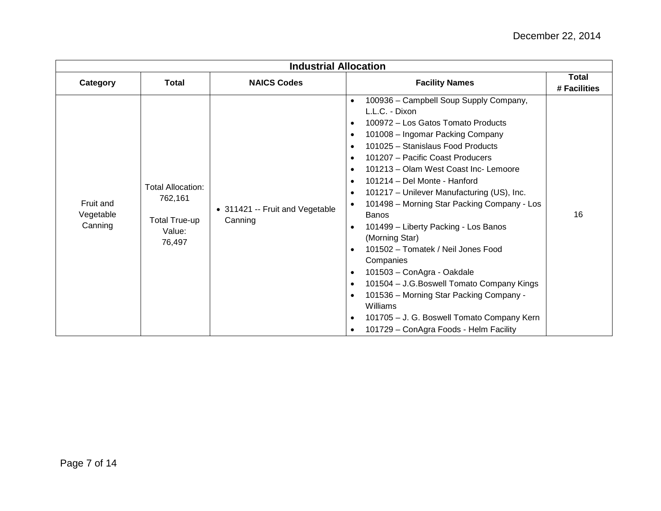| <b>Industrial Allocation</b>      |                                                                          |                                            |                                                                                                                                                                                                                                                                                                                                                                                                                                                                                                                                                                                                                                                                                                                                                                                                                                                                                                       |                       |
|-----------------------------------|--------------------------------------------------------------------------|--------------------------------------------|-------------------------------------------------------------------------------------------------------------------------------------------------------------------------------------------------------------------------------------------------------------------------------------------------------------------------------------------------------------------------------------------------------------------------------------------------------------------------------------------------------------------------------------------------------------------------------------------------------------------------------------------------------------------------------------------------------------------------------------------------------------------------------------------------------------------------------------------------------------------------------------------------------|-----------------------|
| Category                          | <b>Total</b>                                                             | <b>NAICS Codes</b>                         | <b>Facility Names</b>                                                                                                                                                                                                                                                                                                                                                                                                                                                                                                                                                                                                                                                                                                                                                                                                                                                                                 | Total<br># Facilities |
| Fruit and<br>Vegetable<br>Canning | <b>Total Allocation:</b><br>762,161<br>Total True-up<br>Value:<br>76,497 | • 311421 -- Fruit and Vegetable<br>Canning | 100936 - Campbell Soup Supply Company,<br>$\bullet$<br>L.L.C. - Dixon<br>100972 - Los Gatos Tomato Products<br>$\bullet$<br>101008 - Ingomar Packing Company<br>$\bullet$<br>101025 - Stanislaus Food Products<br>$\bullet$<br>101207 - Pacific Coast Producers<br>101213 - Olam West Coast Inc- Lemoore<br>$\bullet$<br>101214 - Del Monte - Hanford<br>101217 - Unilever Manufacturing (US), Inc.<br>$\bullet$<br>101498 - Morning Star Packing Company - Los<br><b>Banos</b><br>101499 - Liberty Packing - Los Banos<br>$\bullet$<br>(Morning Star)<br>101502 - Tomatek / Neil Jones Food<br>$\bullet$<br>Companies<br>101503 - ConAgra - Oakdale<br>$\bullet$<br>101504 - J.G. Boswell Tomato Company Kings<br>$\bullet$<br>101536 - Morning Star Packing Company -<br>$\bullet$<br>Williams<br>101705 - J. G. Boswell Tomato Company Kern<br>$\bullet$<br>101729 - ConAgra Foods - Helm Facility | 16                    |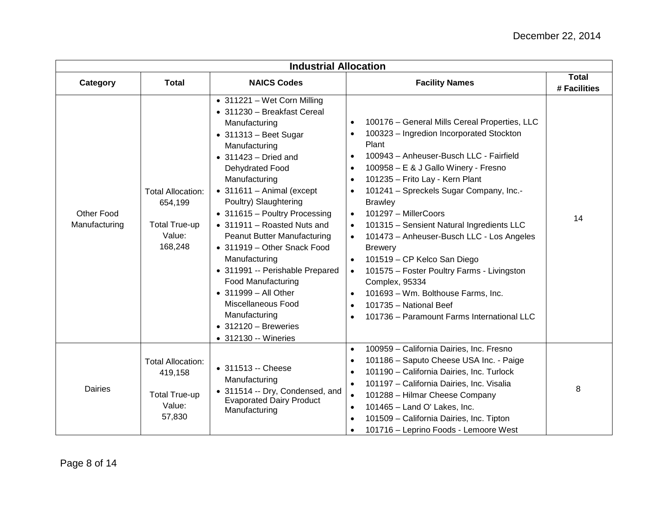| <b>Industrial Allocation</b> |                                                                                  |                                                                                                                                                                                                                                                                                                                                                                                                                                                                                                                                                                                                       |                                                                                                                                                                                                                                                                                                                                                                                                                                                                                                                                                                                                                                                                                                                                                             |                              |
|------------------------------|----------------------------------------------------------------------------------|-------------------------------------------------------------------------------------------------------------------------------------------------------------------------------------------------------------------------------------------------------------------------------------------------------------------------------------------------------------------------------------------------------------------------------------------------------------------------------------------------------------------------------------------------------------------------------------------------------|-------------------------------------------------------------------------------------------------------------------------------------------------------------------------------------------------------------------------------------------------------------------------------------------------------------------------------------------------------------------------------------------------------------------------------------------------------------------------------------------------------------------------------------------------------------------------------------------------------------------------------------------------------------------------------------------------------------------------------------------------------------|------------------------------|
| Category                     | <b>Total</b>                                                                     | <b>NAICS Codes</b>                                                                                                                                                                                                                                                                                                                                                                                                                                                                                                                                                                                    | <b>Facility Names</b>                                                                                                                                                                                                                                                                                                                                                                                                                                                                                                                                                                                                                                                                                                                                       | <b>Total</b><br># Facilities |
| Other Food<br>Manufacturing  | <b>Total Allocation:</b><br>654,199<br><b>Total True-up</b><br>Value:<br>168,248 | • 311221 - Wet Corn Milling<br>• 311230 - Breakfast Cereal<br>Manufacturing<br>$\bullet$ 311313 - Beet Sugar<br>Manufacturing<br>$\bullet$ 311423 - Dried and<br>Dehydrated Food<br>Manufacturing<br>$\bullet$ 311611 - Animal (except<br>Poultry) Slaughtering<br>• 311615 - Poultry Processing<br>• 311911 - Roasted Nuts and<br>Peanut Butter Manufacturing<br>• 311919 - Other Snack Food<br>Manufacturing<br>• 311991 -- Perishable Prepared<br><b>Food Manufacturing</b><br>• 311999 - All Other<br>Miscellaneous Food<br>Manufacturing<br>$\bullet$ 312120 - Breweries<br>• 312130 -- Wineries | 100176 - General Mills Cereal Properties, LLC<br>$\bullet$<br>100323 - Ingredion Incorporated Stockton<br>$\bullet$<br>Plant<br>100943 - Anheuser-Busch LLC - Fairfield<br>$\bullet$<br>100958 - E & J Gallo Winery - Fresno<br>$\bullet$<br>101235 - Frito Lay - Kern Plant<br>$\bullet$<br>101241 - Spreckels Sugar Company, Inc.-<br><b>Brawley</b><br>101297 - MillerCoors<br>$\bullet$<br>101315 - Sensient Natural Ingredients LLC<br>101473 - Anheuser-Busch LLC - Los Angeles<br><b>Brewery</b><br>101519 - CP Kelco San Diego<br>$\bullet$<br>101575 - Foster Poultry Farms - Livingston<br>Complex, 95334<br>101693 - Wm. Bolthouse Farms, Inc.<br>$\bullet$<br>101735 - National Beef<br>$\bullet$<br>101736 - Paramount Farms International LLC | 14                           |
| <b>Dairies</b>               | <b>Total Allocation:</b><br>419,158<br><b>Total True-up</b><br>Value:<br>57,830  | • 311513 -- Cheese<br>Manufacturing<br>• 311514 -- Dry, Condensed, and<br><b>Evaporated Dairy Product</b><br>Manufacturing                                                                                                                                                                                                                                                                                                                                                                                                                                                                            | 100959 - California Dairies, Inc. Fresno<br>$\bullet$<br>101186 - Saputo Cheese USA Inc. - Paige<br>$\bullet$<br>101190 - California Dairies, Inc. Turlock<br>$\bullet$<br>101197 - California Dairies, Inc. Visalia<br>$\bullet$<br>101288 - Hilmar Cheese Company<br>$\bullet$<br>101465 - Land O' Lakes, Inc.<br>101509 - California Dairies, Inc. Tipton<br>101716 - Leprino Foods - Lemoore West<br>$\bullet$                                                                                                                                                                                                                                                                                                                                          | 8                            |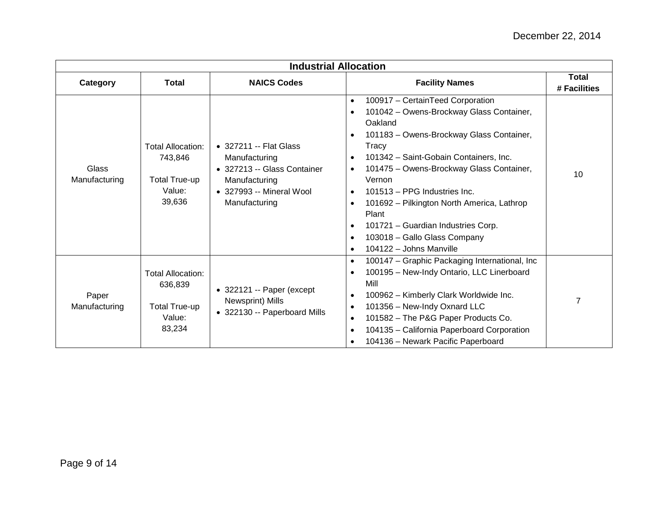| <b>Industrial Allocation</b> |                                                                                 |                                                                                                                                      |                                                                                                                                                                                                                                                                                                                                                                                                                                                                                                                                                                        |                              |
|------------------------------|---------------------------------------------------------------------------------|--------------------------------------------------------------------------------------------------------------------------------------|------------------------------------------------------------------------------------------------------------------------------------------------------------------------------------------------------------------------------------------------------------------------------------------------------------------------------------------------------------------------------------------------------------------------------------------------------------------------------------------------------------------------------------------------------------------------|------------------------------|
| Category                     | <b>Total</b>                                                                    | <b>NAICS Codes</b>                                                                                                                   | <b>Facility Names</b>                                                                                                                                                                                                                                                                                                                                                                                                                                                                                                                                                  | <b>Total</b><br># Facilities |
| Glass<br>Manufacturing       | <b>Total Allocation:</b><br>743,846<br><b>Total True-up</b><br>Value:<br>39,636 | • 327211 -- Flat Glass<br>Manufacturing<br>• 327213 -- Glass Container<br>Manufacturing<br>• 327993 -- Mineral Wool<br>Manufacturing | 100917 - CertainTeed Corporation<br>$\bullet$<br>101042 - Owens-Brockway Glass Container,<br>$\bullet$<br>Oakland<br>101183 - Owens-Brockway Glass Container,<br>$\bullet$<br>Tracy<br>101342 - Saint-Gobain Containers, Inc.<br>$\bullet$<br>101475 - Owens-Brockway Glass Container,<br>$\bullet$<br>Vernon<br>101513 - PPG Industries Inc.<br>$\bullet$<br>101692 - Pilkington North America, Lathrop<br>$\bullet$<br>Plant<br>101721 - Guardian Industries Corp.<br>$\bullet$<br>103018 - Gallo Glass Company<br>$\bullet$<br>104122 - Johns Manville<br>$\bullet$ | 10                           |
| Paper<br>Manufacturing       | <b>Total Allocation:</b><br>636,839<br>Total True-up<br>Value:<br>83,234        | $\bullet$ 322121 -- Paper (except<br>Newsprint) Mills<br>• 322130 -- Paperboard Mills                                                | 100147 - Graphic Packaging International, Inc<br>$\bullet$<br>100195 - New-Indy Ontario, LLC Linerboard<br>$\bullet$<br>Mill<br>100962 - Kimberly Clark Worldwide Inc.<br>$\bullet$<br>101356 - New-Indy Oxnard LLC<br>$\bullet$<br>101582 - The P&G Paper Products Co.<br>$\bullet$<br>104135 - California Paperboard Corporation<br>$\bullet$<br>104136 - Newark Pacific Paperboard                                                                                                                                                                                  |                              |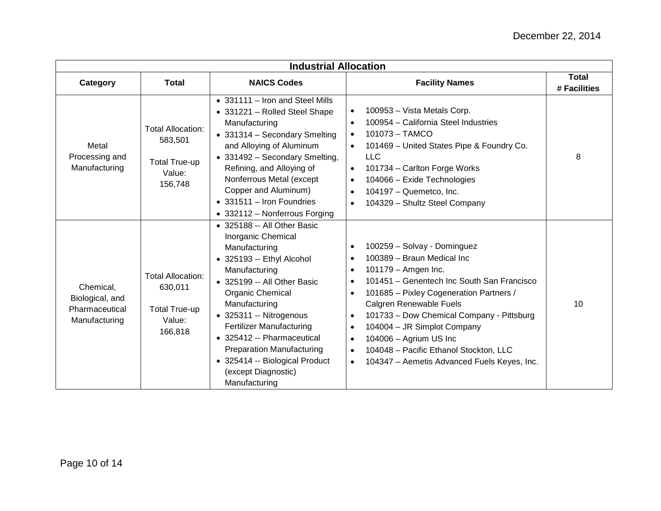|                                                                 | <b>Industrial Allocation</b>                                                     |                                                                                                                                                                                                                                                                                                                                                                                                        |                                                                                                                                                                                                                                                                                                                                                                                                                                                                                                                                       |                              |  |
|-----------------------------------------------------------------|----------------------------------------------------------------------------------|--------------------------------------------------------------------------------------------------------------------------------------------------------------------------------------------------------------------------------------------------------------------------------------------------------------------------------------------------------------------------------------------------------|---------------------------------------------------------------------------------------------------------------------------------------------------------------------------------------------------------------------------------------------------------------------------------------------------------------------------------------------------------------------------------------------------------------------------------------------------------------------------------------------------------------------------------------|------------------------------|--|
| Category                                                        | <b>Total</b>                                                                     | <b>NAICS Codes</b>                                                                                                                                                                                                                                                                                                                                                                                     | <b>Facility Names</b>                                                                                                                                                                                                                                                                                                                                                                                                                                                                                                                 | <b>Total</b><br># Facilities |  |
| Metal<br>Processing and<br>Manufacturing                        | <b>Total Allocation:</b><br>583,501<br><b>Total True-up</b><br>Value:<br>156,748 | • 331111 - Iron and Steel Mills<br>• 331221 - Rolled Steel Shape<br>Manufacturing<br>• 331314 - Secondary Smelting<br>and Alloying of Aluminum<br>• 331492 - Secondary Smelting,<br>Refining, and Alloying of<br>Nonferrous Metal (except<br>Copper and Aluminum)<br>$\bullet$ 331511 - Iron Foundries<br>• 332112 - Nonferrous Forging                                                                | 100953 - Vista Metals Corp.<br>$\bullet$<br>100954 - California Steel Industries<br>$\bullet$<br>101073 - TAMCO<br>$\bullet$<br>101469 - United States Pipe & Foundry Co.<br>$\bullet$<br><b>LLC</b><br>101734 - Carlton Forge Works<br>$\bullet$<br>104066 - Exide Technologies<br>$\bullet$<br>104197 - Quemetco, Inc.<br>$\bullet$<br>104329 - Shultz Steel Company<br>$\bullet$                                                                                                                                                   | 8                            |  |
| Chemical,<br>Biological, and<br>Pharmaceutical<br>Manufacturing | <b>Total Allocation:</b><br>630,011<br><b>Total True-up</b><br>Value:<br>166,818 | • 325188 -- All Other Basic<br>Inorganic Chemical<br>Manufacturing<br>$\bullet$ 325193 -- Ethyl Alcohol<br>Manufacturing<br>• 325199 -- All Other Basic<br>Organic Chemical<br>Manufacturing<br>• 325311 -- Nitrogenous<br><b>Fertilizer Manufacturing</b><br>• 325412 -- Pharmaceutical<br><b>Preparation Manufacturing</b><br>• 325414 -- Biological Product<br>(except Diagnostic)<br>Manufacturing | 100259 - Solvay - Dominguez<br>$\bullet$<br>100389 - Braun Medical Inc<br>$\bullet$<br>101179 - Amgen Inc.<br>$\bullet$<br>101451 - Genentech Inc South San Francisco<br>$\bullet$<br>101685 - Pixley Cogeneration Partners /<br>$\bullet$<br>Calgren Renewable Fuels<br>101733 - Dow Chemical Company - Pittsburg<br>$\bullet$<br>104004 - JR Simplot Company<br>$\bullet$<br>104006 - Agrium US Inc<br>$\bullet$<br>104048 - Pacific Ethanol Stockton, LLC<br>$\bullet$<br>104347 - Aemetis Advanced Fuels Keyes, Inc.<br>$\bullet$ | 10                           |  |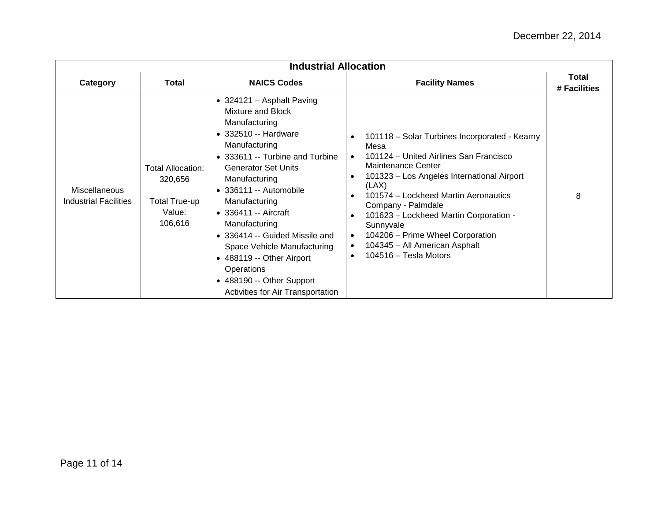| <b>Industrial Allocation</b>                         |                                                                           |                                                                                                                                                                                                                                                                                                                                                                                                                                                              |                                                                                                                                                                                                                                                                                                                                                                                                                           |                              |  |
|------------------------------------------------------|---------------------------------------------------------------------------|--------------------------------------------------------------------------------------------------------------------------------------------------------------------------------------------------------------------------------------------------------------------------------------------------------------------------------------------------------------------------------------------------------------------------------------------------------------|---------------------------------------------------------------------------------------------------------------------------------------------------------------------------------------------------------------------------------------------------------------------------------------------------------------------------------------------------------------------------------------------------------------------------|------------------------------|--|
| Category                                             | <b>Total</b>                                                              | <b>NAICS Codes</b>                                                                                                                                                                                                                                                                                                                                                                                                                                           | <b>Facility Names</b>                                                                                                                                                                                                                                                                                                                                                                                                     | <b>Total</b><br># Facilities |  |
| <b>Miscellaneous</b><br><b>Industrial Facilities</b> | <b>Total Allocation:</b><br>320,656<br>Total True-up<br>Value:<br>106,616 | • 324121 - Asphalt Paving<br>Mixture and Block<br>Manufacturing<br>• 332510 -- Hardware<br>Manufacturing<br>• 333611 -- Turbine and Turbine<br><b>Generator Set Units</b><br>Manufacturing<br>• 336111 -- Automobile<br>Manufacturing<br>• 336411 -- Aircraft<br>Manufacturing<br>• 336414 -- Guided Missile and<br>Space Vehicle Manufacturing<br>• 488119 -- Other Airport<br>Operations<br>• 488190 -- Other Support<br>Activities for Air Transportation | 101118 - Solar Turbines Incorporated - Kearny<br>Mesa<br>101124 - United Airlines San Francisco<br>Maintenance Center<br>101323 - Los Angeles International Airport<br>(LAX)<br>101574 - Lockheed Martin Aeronautics<br>Company - Palmdale<br>101623 - Lockheed Martin Corporation -<br>Sunnyvale<br>104206 - Prime Wheel Corporation<br>$\bullet$<br>104345 - All American Asphalt<br>$\bullet$<br>104516 - Tesla Motors | 8                            |  |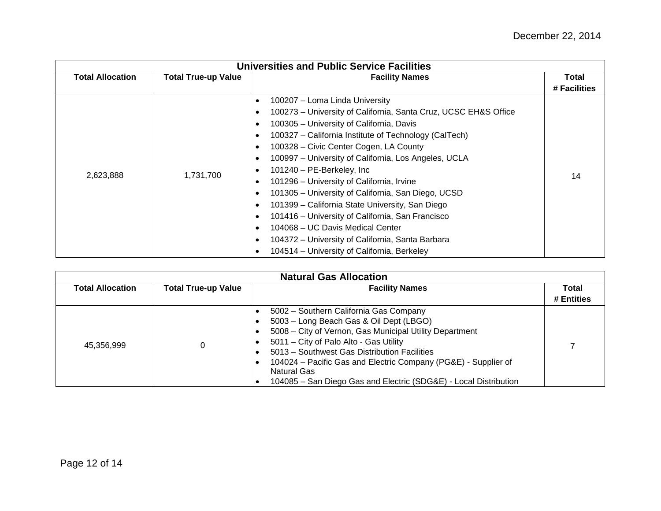|                         | <b>Universities and Public Service Facilities</b> |                                                                                                                                                                                                                                                                                                                                                                                                                                                                                                                                                                                                                                                                                                                                                                                                                                                               |                       |  |  |
|-------------------------|---------------------------------------------------|---------------------------------------------------------------------------------------------------------------------------------------------------------------------------------------------------------------------------------------------------------------------------------------------------------------------------------------------------------------------------------------------------------------------------------------------------------------------------------------------------------------------------------------------------------------------------------------------------------------------------------------------------------------------------------------------------------------------------------------------------------------------------------------------------------------------------------------------------------------|-----------------------|--|--|
| <b>Total Allocation</b> | <b>Total True-up Value</b>                        | <b>Facility Names</b>                                                                                                                                                                                                                                                                                                                                                                                                                                                                                                                                                                                                                                                                                                                                                                                                                                         | Total<br># Facilities |  |  |
| 2,623,888               | 1,731,700                                         | 100207 - Loma Linda University<br>$\bullet$<br>100273 - University of California, Santa Cruz, UCSC EH&S Office<br>$\bullet$<br>100305 - University of California, Davis<br>$\bullet$<br>100327 - California Institute of Technology (CalTech)<br>$\bullet$<br>100328 - Civic Center Cogen, LA County<br>٠<br>100997 - University of California, Los Angeles, UCLA<br>$\bullet$<br>101240 - PE-Berkeley, Inc.<br>$\bullet$<br>101296 - University of California, Irvine<br>$\bullet$<br>101305 - University of California, San Diego, UCSD<br>٠<br>101399 - California State University, San Diego<br>$\bullet$<br>101416 – University of California, San Francisco<br>$\bullet$<br>104068 – UC Davis Medical Center<br>$\bullet$<br>104372 - University of California, Santa Barbara<br>$\bullet$<br>104514 - University of California, Berkeley<br>$\bullet$ | 14                    |  |  |

| <b>Natural Gas Allocation</b> |                            |                                                                                                                                                                                                                                                                                                                                                                                                                       |            |
|-------------------------------|----------------------------|-----------------------------------------------------------------------------------------------------------------------------------------------------------------------------------------------------------------------------------------------------------------------------------------------------------------------------------------------------------------------------------------------------------------------|------------|
| <b>Total Allocation</b>       | <b>Total True-up Value</b> | <b>Facility Names</b>                                                                                                                                                                                                                                                                                                                                                                                                 | Total      |
|                               |                            |                                                                                                                                                                                                                                                                                                                                                                                                                       | # Entities |
| 45,356,999                    | 0                          | 5002 - Southern California Gas Company<br>5003 - Long Beach Gas & Oil Dept (LBGO)<br>5008 - City of Vernon, Gas Municipal Utility Department<br>$\bullet$<br>5011 - City of Palo Alto - Gas Utility<br>5013 - Southwest Gas Distribution Facilities<br>$\bullet$<br>104024 – Pacific Gas and Electric Company (PG&E) - Supplier of<br>Natural Gas<br>104085 - San Diego Gas and Electric (SDG&E) - Local Distribution |            |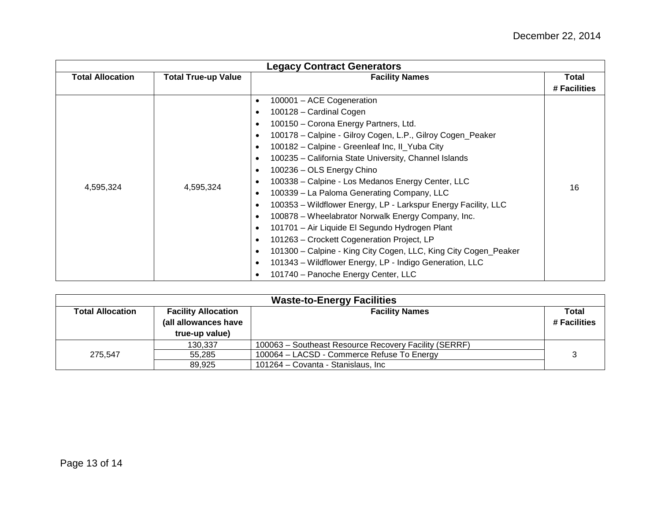| <b>Legacy Contract Generators</b> |                            |                                                                                                                                                                                                                                                                                                                                                                                                                                                                                                                                                                                                                                                                                                                                                                 |              |
|-----------------------------------|----------------------------|-----------------------------------------------------------------------------------------------------------------------------------------------------------------------------------------------------------------------------------------------------------------------------------------------------------------------------------------------------------------------------------------------------------------------------------------------------------------------------------------------------------------------------------------------------------------------------------------------------------------------------------------------------------------------------------------------------------------------------------------------------------------|--------------|
| <b>Total Allocation</b>           | <b>Total True-up Value</b> | <b>Facility Names</b>                                                                                                                                                                                                                                                                                                                                                                                                                                                                                                                                                                                                                                                                                                                                           | Total        |
|                                   |                            |                                                                                                                                                                                                                                                                                                                                                                                                                                                                                                                                                                                                                                                                                                                                                                 | # Facilities |
| 4,595,324                         | 4,595,324                  | 100001 - ACE Cogeneration<br>$\bullet$<br>100128 - Cardinal Cogen<br>$\bullet$<br>100150 - Corona Energy Partners, Ltd.<br>$\bullet$<br>100178 - Calpine - Gilroy Cogen, L.P., Gilroy Cogen_Peaker<br>$\bullet$<br>100182 - Calpine - Greenleaf Inc, Il_Yuba City<br>$\bullet$<br>100235 - California State University, Channel Islands<br>$\bullet$<br>100236 - OLS Energy Chino<br>$\bullet$<br>100338 - Calpine - Los Medanos Energy Center, LLC<br>$\bullet$<br>100339 - La Paloma Generating Company, LLC<br>٠<br>100353 - Wildflower Energy, LP - Larkspur Energy Facility, LLC<br>٠<br>100878 - Wheelabrator Norwalk Energy Company, Inc.<br>٠<br>101701 - Air Liquide El Segundo Hydrogen Plant<br>٠<br>101263 - Crockett Cogeneration Project, LP<br>٠ | 16           |
|                                   | ٠<br>$\bullet$<br>٠        | 101300 - Calpine - King City Cogen, LLC, King City Cogen_Peaker<br>101343 - Wildflower Energy, LP - Indigo Generation, LLC<br>101740 - Panoche Energy Center, LLC                                                                                                                                                                                                                                                                                                                                                                                                                                                                                                                                                                                               |              |

| <b>Waste-to-Energy Facilities</b> |                            |                                                       |              |
|-----------------------------------|----------------------------|-------------------------------------------------------|--------------|
| Total Allocation                  | <b>Facility Allocation</b> | <b>Facility Names</b>                                 | Total        |
|                                   | (all allowances have       |                                                       | # Facilities |
|                                   | true-up value)             |                                                       |              |
|                                   | 130.337                    | 100063 - Southeast Resource Recovery Facility (SERRF) |              |
| 275.547                           | 55,285                     | 100064 - LACSD - Commerce Refuse To Energy            |              |
|                                   | 89.925                     | 101264 - Covanta - Stanislaus, Inc                    |              |